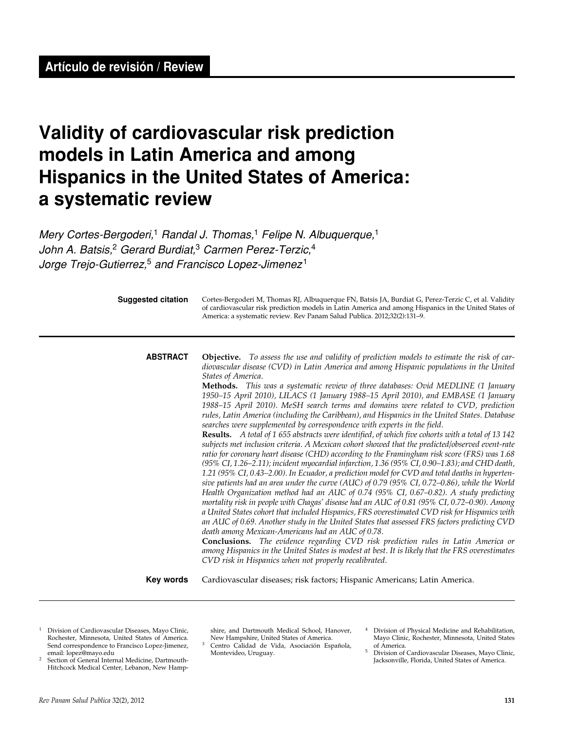# **Validity of cardiovascular risk prediction models in Latin America and among Hispanics in the United States of America: a systematic review**

*Mery Cortes-Bergoderi,*1 *Randal J. Thomas,*1 *Felipe N. Albuquerque,*<sup>1</sup> *John A. Batsis,*2 *Gerard Burdiat,*3 *Carmen Perez-Terzic,*<sup>4</sup> *Jorge Trejo-Gutierrez,*<sup>5</sup> *and Francisco Lopez-Jimenez* <sup>1</sup>

| <b>Suggested citation</b> | Cortes-Bergoderi M, Thomas RJ, Albuquerque FN, Batsis JA, Burdiat G, Perez-Terzic C, et al. Validity<br>of cardiovascular risk prediction models in Latin America and among Hispanics in the United States of<br>America: a systematic review. Rev Panam Salud Publica. 2012;32(2):131-9.                                                                                                                                                                                                                                                                                                                                                                                                                                                                                                                                                                                                                                                                                                                                                                                                                                                                                                                                                                                                                                                                                                                                                                                                                                                                                                                                                                                                                                                                                                                                                                                                                                                                                      |
|---------------------------|--------------------------------------------------------------------------------------------------------------------------------------------------------------------------------------------------------------------------------------------------------------------------------------------------------------------------------------------------------------------------------------------------------------------------------------------------------------------------------------------------------------------------------------------------------------------------------------------------------------------------------------------------------------------------------------------------------------------------------------------------------------------------------------------------------------------------------------------------------------------------------------------------------------------------------------------------------------------------------------------------------------------------------------------------------------------------------------------------------------------------------------------------------------------------------------------------------------------------------------------------------------------------------------------------------------------------------------------------------------------------------------------------------------------------------------------------------------------------------------------------------------------------------------------------------------------------------------------------------------------------------------------------------------------------------------------------------------------------------------------------------------------------------------------------------------------------------------------------------------------------------------------------------------------------------------------------------------------------------|
| <b>ABSTRACT</b>           | <b>Objective.</b> To assess the use and validity of prediction models to estimate the risk of car-<br>diovascular disease (CVD) in Latin America and among Hispanic populations in the United<br>States of America.<br>Methods. This was a systematic review of three databases: Ovid MEDLINE (1 January<br>1950-15 April 2010), LILACS (1 January 1988-15 April 2010), and EMBASE (1 January<br>1988-15 April 2010). MeSH search terms and domains were related to CVD, prediction<br>rules, Latin America (including the Caribbean), and Hispanics in the United States. Database<br>searches were supplemented by correspondence with experts in the field.<br>Results. A total of 1 655 abstracts were identified, of which five cohorts with a total of 13 142<br>subjects met inclusion criteria. A Mexican cohort showed that the predicted/observed event-rate<br>ratio for coronary heart disease (CHD) according to the Framingham risk score (FRS) was 1.68<br>(95% CI, 1.26-2.11); incident myocardial infarction, 1.36 (95% CI, 0.90-1.83); and CHD death,<br>1.21 (95% CI, 0.43–2.00). In Ecuador, a prediction model for CVD and total deaths in hyperten-<br>sive patients had an area under the curve (AUC) of 0.79 (95% CI, 0.72–0.86), while the World<br>Health Organization method had an AUC of 0.74 (95% CI, 0.67-0.82). A study predicting<br>mortality risk in people with Chagas' disease had an AUC of 0.81 (95% CI, 0.72–0.90). Among<br>a United States cohort that included Hispanics, FRS overestimated CVD risk for Hispanics with<br>an AUC of 0.69. Another study in the United States that assessed FRS factors predicting CVD<br>death among Mexican-Americans had an AUC of 0.78.<br><b>Conclusions.</b> The evidence regarding CVD risk prediction rules in Latin America or<br>among Hispanics in the United States is modest at best. It is likely that the FRS overestimates<br>CVD risk in Hispanics when not properly recalibrated. |
| Key words                 | Cardiovascular diseases; risk factors; Hispanic Americans; Latin America.                                                                                                                                                                                                                                                                                                                                                                                                                                                                                                                                                                                                                                                                                                                                                                                                                                                                                                                                                                                                                                                                                                                                                                                                                                                                                                                                                                                                                                                                                                                                                                                                                                                                                                                                                                                                                                                                                                      |

- <sup>1</sup> Division of Cardiovascular Diseases, Mayo Clinic, Rochester, Minnesota, United States of America.<br>
Send correspondence to Francisco Lopez-Jimenez,<br>
email: lopez@mayo.edu<br>
<sup>2</sup> Section of General Internal Medicine, Dartm Rochester, Minnesota, United States of America. Send correspondence to Francisco Lopez-Jimenez, email: lopez@mayo.edu
- 2 Section of General Internal Medicine, Dartmouth-Hitchcock Medical Center, Lebanon, New Hamp-

shire, and Dartmouth Medical School, Hanover, New Hampshire, United States of America.

- 3 Centro Calidad de Vida, Asociación Española, Montevideo, Uruguay.
- 4 Division of Physical Medicine and Rehabilitation, Mayo Clinic, Rochester, Minnesota, United States of America.
- 5 Division of Cardiovascular Diseases, Mayo Clinic, Jacksonville, Florida, United States of America.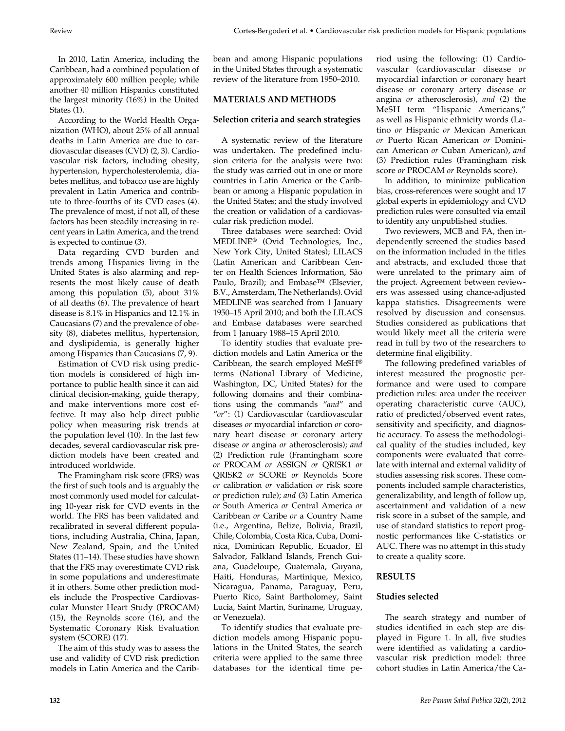In 2010, Latin America, including the Caribbean, had a combined population of approximately 600 million people; while another 40 million Hispanics constituted the largest minority (16%) in the United States (1).

According to the World Health Organization (WHO), about 25% of all annual deaths in Latin America are due to cardiovascular diseases (CVD) (2, 3). Cardiovascular risk factors, including obesity, hypertension, hypercholesterolemia, diabetes mellitus, and tobacco use are highly prevalent in Latin America and contribute to three-fourths of its CVD cases (4). The prevalence of most, if not all, of these factors has been steadily increasing in recent years in Latin America, and the trend is expected to continue (3).

Data regarding CVD burden and trends among Hispanics living in the United States is also alarming and represents the most likely cause of death among this population (5), about 31% of all deaths (6). The prevalence of heart disease is 8.1% in Hispanics and 12.1% in Caucasians (7) and the prevalence of obesity (8), diabetes mellitus, hypertension, and dyslipidemia, is generally higher among Hispanics than Caucasians (7, 9).

Estimation of CVD risk using prediction models is considered of high importance to public health since it can aid clinical decision-making, guide therapy, and make interventions more cost effective. It may also help direct public policy when measuring risk trends at the population level (10). In the last few decades, several cardiovascular risk prediction models have been created and introduced worldwide.

The Framingham risk score (FRS) was the first of such tools and is arguably the most commonly used model for calculating 10-year risk for CVD events in the world. The FRS has been validated and recalibrated in several different populations, including Australia, China, Japan, New Zealand, Spain, and the United States (11–14). These studies have shown that the FRS may overestimate CVD risk in some populations and underestimate it in others. Some other prediction models include the Prospective Cardiovascular Munster Heart Study (PROCAM) (15), the Reynolds score (16), and the Systematic Coronary Risk Evaluation system (SCORE) (17).

The aim of this study was to assess the use and validity of CVD risk prediction models in Latin America and the Caribbean and among Hispanic populations in the United States through a systematic review of the literature from 1950–2010.

## **Materials and METHODS**

#### **Selection criteria and search strategies**

A systematic review of the literature was undertaken. The predefined inclusion criteria for the analysis were two: the study was carried out in one or more countries in Latin America or the Caribbean or among a Hispanic population in the United States; and the study involved the creation or validation of a cardiovascular risk prediction model.

Three databases were searched: Ovid MEDLINE® (Ovid Technologies, Inc., New York City, United States); LILACS (Latin American and Caribbean Center on Health Sciences Information, São Paulo, Brazil); and Embase™ (Elsevier, B.V., Amsterdam, The Netherlands). Ovid MEDLINE was searched from 1 January 1950–15 April 2010; and both the LILACS and Embase databases were searched from 1 January 1988–15 April 2010.

To identify studies that evaluate prediction models and Latin America or the Caribbean, the search employed MeSH® terms (National Library of Medicine, Washington, DC, United States) for the following domains and their combinations using the commands "*and*" and "*or*": (1) Cardiovascular (cardiovascular diseases *or* myocardial infarction *or* coronary heart disease *or* coronary artery disease *or* angina *or* atherosclerosis); *and* (2) Prediction rule (Framingham score *or* PROCAM *or* ASSIGN *or* QRISK1 *or* QRISK2 *or* SCORE *or* Reynolds Score *or* calibration *or* validation *or* risk score *or* prediction rule); *and* (3) Latin America *or* South America *or* Central America *or*  Caribbean *or* Caribe *or* a Country Name (i.e., Argentina, Belize, Bolivia, Brazil, Chile, Colombia, Costa Rica, Cuba, Dominica, Dominican Republic, Ecuador, El Salvador, Falkland Islands, French Guiana, Guadeloupe, Guatemala, Guyana, Haiti, Honduras, Martinique, Mexico, Nicaragua, Panama, Paraguay, Peru, Puerto Rico, Saint Bartholomey, Saint Lucia, Saint Martin, Suriname, Uruguay, or Venezuela).

To identify studies that evaluate prediction models among Hispanic populations in the United States, the search criteria were applied to the same three databases for the identical time period using the following: (1) Cardiovascular (cardiovascular disease *or* myocardial infarction *or* coronary heart disease *or* coronary artery disease *or* angina *or* atherosclerosis), *and* (2) the MeSH term "Hispanic Americans," as well as Hispanic ethnicity words (Latino *or* Hispanic *or* Mexican American *or* Puerto Rican American *or* Dominican American *or* Cuban American), *and* (3) Prediction rules (Framingham risk score *or* PROCAM *or* Reynolds score).

In addition, to minimize publication bias, cross-references were sought and 17 global experts in epidemiology and CVD prediction rules were consulted via email to identify any unpublished studies.

Two reviewers, MCB and FA, then independently screened the studies based on the information included in the titles and abstracts, and excluded those that were unrelated to the primary aim of the project. Agreement between reviewers was assessed using chance-adjusted kappa statistics. Disagreements were resolved by discussion and consensus. Studies considered as publications that would likely meet all the criteria were read in full by two of the researchers to determine final eligibility.

The following predefined variables of interest measured the prognostic performance and were used to compare prediction rules: area under the receiver operating characteristic curve (AUC), ratio of predicted/observed event rates, sensitivity and specificity, and diagnostic accuracy. To assess the methodological quality of the studies included, key components were evaluated that correlate with internal and external validity of studies assessing risk scores. These components included sample characteristics, generalizability, and length of follow up, ascertainment and validation of a new risk score in a subset of the sample, and use of standard statistics to report prognostic performances like C-statistics or AUC. There was no attempt in this study to create a quality score.

# **RESULTS**

#### **Studies selected**

The search strategy and number of studies identified in each step are displayed in Figure 1. In all, five studies were identified as validating a cardiovascular risk prediction model: three cohort studies in Latin America/the Ca-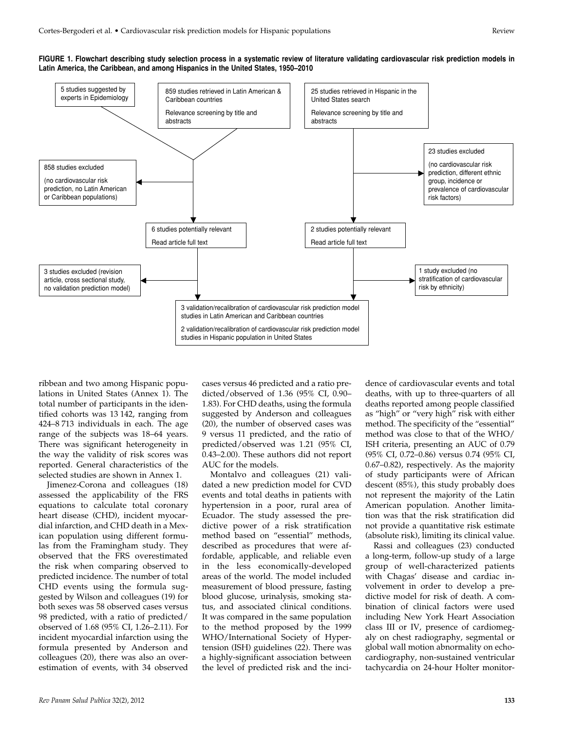

ribbean and two among Hispanic populations in United States (Annex 1). The total number of participants in the identified cohorts was 13 142, ranging from 424–8 713 individuals in each. The age range of the subjects was 18–64 years. There was significant heterogeneity in the way the validity of risk scores was reported. General characteristics of the selected studies are shown in Annex 1.

Jimenez-Corona and colleagues (18) assessed the applicability of the FRS equations to calculate total coronary heart disease (CHD), incident myocardial infarction, and CHD death in a Mexican population using different formulas from the Framingham study. They observed that the FRS overestimated the risk when comparing observed to predicted incidence. The number of total CHD events using the formula suggested by Wilson and colleagues (19) for both sexes was 58 observed cases versus 98 predicted, with a ratio of predicted/ observed of 1.68 (95% CI, 1.26–2.11). For incident myocardial infarction using the formula presented by Anderson and colleagues (20), there was also an overestimation of events, with 34 observed

cases versus 46 predicted and a ratio predicted/observed of 1.36 (95% CI, 0.90– 1.83). For CHD deaths, using the formula suggested by Anderson and colleagues (20), the number of observed cases was 9 versus 11 predicted, and the ratio of predicted/observed was 1.21 (95% CI, 0.43–2.00). These authors did not report AUC for the models.

Montalvo and colleagues (21) validated a new prediction model for CVD events and total deaths in patients with hypertension in a poor, rural area of Ecuador. The study assessed the predictive power of a risk stratification method based on "essential" methods, described as procedures that were affordable, applicable, and reliable even in the less economically-developed areas of the world. The model included measurement of blood pressure, fasting blood glucose, urinalysis, smoking status, and associated clinical conditions. It was compared in the same population to the method proposed by the 1999 WHO/International Society of Hypertension (ISH) guidelines (22). There was a highly-significant association between the level of predicted risk and the inci-

dence of cardiovascular events and total deaths, with up to three-quarters of all deaths reported among people classified as "high" or "very high" risk with either method. The specificity of the "essential" method was close to that of the WHO/ ISH criteria, presenting an AUC of 0.79 (95% CI, 0.72–0.86) versus 0.74 (95% CI, 0.67–0.82), respectively. As the majority of study participants were of African descent (85%), this study probably does not represent the majority of the Latin American population. Another limitation was that the risk stratification did not provide a quantitative risk estimate (absolute risk), limiting its clinical value.

Rassi and colleagues (23) conducted a long-term, follow-up study of a large group of well-characterized patients with Chagas' disease and cardiac involvement in order to develop a predictive model for risk of death. A combination of clinical factors were used including New York Heart Association class III or IV, presence of cardiomegaly on chest radiography, segmental or global wall motion abnormality on echocardiography, non-sustained ventricular tachycardia on 24-hour Holter monitor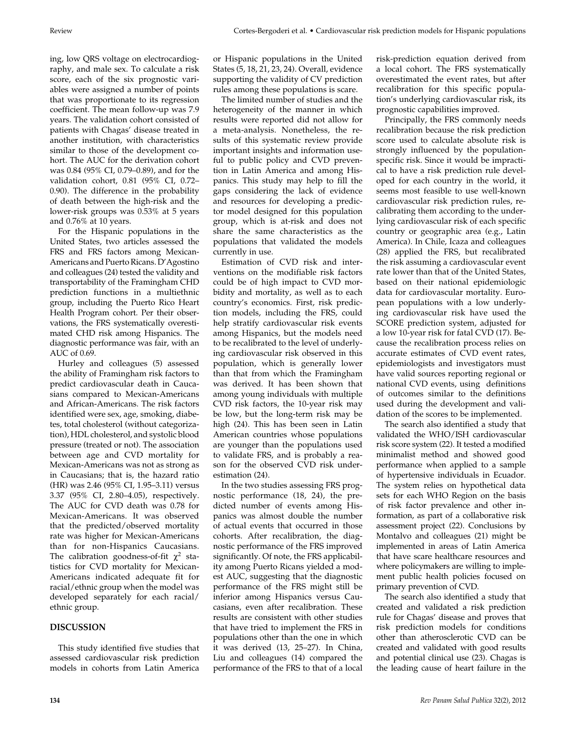ing, low QRS voltage on electrocardiography, and male sex. To calculate a risk score, each of the six prognostic variables were assigned a number of points that was proportionate to its regression coefficient. The mean follow-up was 7.9 years. The validation cohort consisted of patients with Chagas' disease treated in another institution, with characteristics similar to those of the development cohort. The AUC for the derivation cohort was 0.84 (95% CI, 0.79–0.89), and for the validation cohort, 0.81 (95% CI, 0.72– 0.90). The difference in the probability of death between the high-risk and the lower-risk groups was 0.53% at 5 years and 0.76% at 10 years.

For the Hispanic populations in the United States, two articles assessed the FRS and FRS factors among Mexican-Americans and Puerto Ricans. D'Agostino and colleagues (24) tested the validity and transportability of the Framingham CHD prediction functions in a multiethnic group, including the Puerto Rico Heart Health Program cohort. Per their observations, the FRS systematically overestimated CHD risk among Hispanics. The diagnostic performance was fair, with an AUC of 0.69.

Hurley and colleagues (5) assessed the ability of Framingham risk factors to predict cardiovascular death in Caucasians compared to Mexican-Americans and African-Americans. The risk factors identified were sex, age, smoking, diabetes, total cholesterol (without categorization), HDL cholesterol, and systolic blood pressure (treated or not). The association between age and CVD mortality for Mexican-Americans was not as strong as in Caucasians; that is, the hazard ratio (HR) was 2.46 (95% CI, 1.95–3.11) versus 3.37 (95% CI, 2.80–4.05), respectively. The AUC for CVD death was 0.78 for Mexican-Americans. It was observed that the predicted/observed mortality rate was higher for Mexican-Americans than for non-Hispanics Caucasians. The calibration goodness-of-fit  $\chi^2$  statistics for CVD mortality for Mexican-Americans indicated adequate fit for racial/ethnic group when the model was developed separately for each racial/ ethnic group.

# **DISCUSSION**

This study identified five studies that assessed cardiovascular risk prediction models in cohorts from Latin America

or Hispanic populations in the United States (5, 18, 21, 23, 24). Overall, evidence supporting the validity of CV prediction rules among these populations is scare.

The limited number of studies and the heterogeneity of the manner in which results were reported did not allow for a meta-analysis. Nonetheless, the results of this systematic review provide important insights and information useful to public policy and CVD prevention in Latin America and among Hispanics. This study may help to fill the gaps considering the lack of evidence and resources for developing a predictor model designed for this population group, which is at-risk and does not share the same characteristics as the populations that validated the models currently in use.

Estimation of CVD risk and interventions on the modifiable risk factors could be of high impact to CVD morbidity and mortality, as well as to each country's economics. First, risk prediction models, including the FRS, could help stratify cardiovascular risk events among Hispanics, but the models need to be recalibrated to the level of underlying cardiovascular risk observed in this population, which is generally lower than that from which the Framingham was derived. It has been shown that among young individuals with multiple CVD risk factors, the 10-year risk may be low, but the long-term risk may be high (24). This has been seen in Latin American countries whose populations are younger than the populations used to validate FRS, and is probably a reason for the observed CVD risk underestimation (24).

In the two studies assessing FRS prognostic performance (18, 24), the predicted number of events among Hispanics was almost double the number of actual events that occurred in those cohorts. After recalibration, the diagnostic performance of the FRS improved significantly. Of note, the FRS applicability among Puerto Ricans yielded a modest AUC, suggesting that the diagnostic performance of the FRS might still be inferior among Hispanics versus Caucasians, even after recalibration. These results are consistent with other studies that have tried to implement the FRS in populations other than the one in which it was derived (13, 25–27). In China, Liu and colleagues (14) compared the performance of the FRS to that of a local risk-prediction equation derived from a local cohort. The FRS systematically overestimated the event rates, but after recalibration for this specific population's underlying cardiovascular risk, its prognostic capabilities improved.

Principally, the FRS commonly needs recalibration because the risk prediction score used to calculate absolute risk is strongly influenced by the populationspecific risk. Since it would be impractical to have a risk prediction rule developed for each country in the world, it seems most feasible to use well-known cardiovascular risk prediction rules, recalibrating them according to the underlying cardiovascular risk of each specific country or geographic area (e.g., Latin America). In Chile, Icaza and colleagues (28) applied the FRS, but recalibrated the risk assuming a cardiovascular event rate lower than that of the United States, based on their national epidemiologic data for cardiovascular mortality. European populations with a low underlying cardiovascular risk have used the SCORE prediction system, adjusted for a low 10-year risk for fatal CVD (17). Because the recalibration process relies on accurate estimates of CVD event rates, epidemiologists and investigators must have valid sources reporting regional or national CVD events, using definitions of outcomes similar to the definitions used during the development and validation of the scores to be implemented.

The search also identified a study that validated the WHO/ISH cardiovascular risk score system (22). It tested a modified minimalist method and showed good performance when applied to a sample of hypertensive individuals in Ecuador. The system relies on hypothetical data sets for each WHO Region on the basis of risk factor prevalence and other information, as part of a collaborative risk assessment project (22). Conclusions by Montalvo and colleagues (21) might be implemented in areas of Latin America that have scare healthcare resources and where policymakers are willing to implement public health policies focused on primary prevention of CVD.

The search also identified a study that created and validated a risk prediction rule for Chagas' disease and proves that risk prediction models for conditions other than atherosclerotic CVD can be created and validated with good results and potential clinical use (23). Chagas is the leading cause of heart failure in the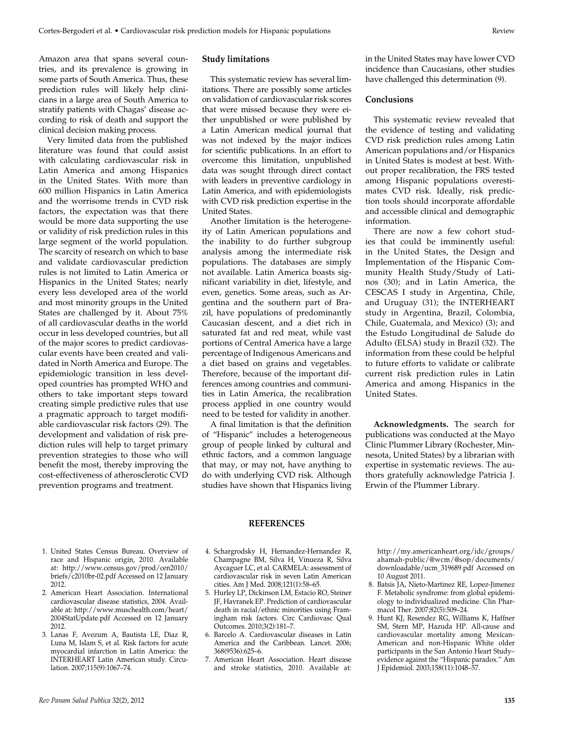Amazon area that spans several countries, and its prevalence is growing in some parts of South America. Thus, these prediction rules will likely help clinicians in a large area of South America to stratify patients with Chagas' disease according to risk of death and support the clinical decision making process.

Very limited data from the published literature was found that could assist with calculating cardiovascular risk in Latin America and among Hispanics in the United States. With more than 600 million Hispanics in Latin America and the worrisome trends in CVD risk factors, the expectation was that there would be more data supporting the use or validity of risk prediction rules in this large segment of the world population. The scarcity of research on which to base and validate cardiovascular prediction rules is not limited to Latin America or Hispanics in the United States; nearly every less developed area of the world and most minority groups in the United States are challenged by it. About 75% of all cardiovascular deaths in the world occur in less developed countries, but all of the major scores to predict cardiovascular events have been created and validated in North America and Europe. The epidemiologic transition in less developed countries has prompted WHO and others to take important steps toward creating simple predictive rules that use a pragmatic approach to target modifiable cardiovascular risk factors (29). The development and validation of risk prediction rules will help to target primary prevention strategies to those who will benefit the most, thereby improving the cost-effectiveness of atherosclerotic CVD prevention programs and treatment.

## **Study limitations**

This systematic review has several limitations. There are possibly some articles on validation of cardiovascular risk scores that were missed because they were either unpublished or were published by a Latin American medical journal that was not indexed by the major indices for scientific publications. In an effort to overcome this limitation, unpublished data was sought through direct contact with leaders in preventive cardiology in Latin America, and with epidemiologists with CVD risk prediction expertise in the United States.

Another limitation is the heterogeneity of Latin American populations and the inability to do further subgroup analysis among the intermediate risk populations. The databases are simply not available. Latin America boasts significant variability in diet, lifestyle, and even, genetics. Some areas, such as Argentina and the southern part of Brazil, have populations of predominantly Caucasian descent, and a diet rich in saturated fat and red meat, while vast portions of Central America have a large percentage of Indigenous Americans and a diet based on grains and vegetables. Therefore, because of the important differences among countries and communities in Latin America, the recalibration process applied in one country would need to be tested for validity in another.

A final limitation is that the definition of "Hispanic" includes a heterogeneous group of people linked by cultural and ethnic factors, and a common language that may, or may not, have anything to do with underlying CVD risk. Although studies have shown that Hispanics living in the United States may have lower CVD incidence than Caucasians, other studies have challenged this determination (9).

#### **Conclusions**

This systematic review revealed that the evidence of testing and validating CVD risk prediction rules among Latin American populations and/or Hispanics in United States is modest at best. Without proper recalibration, the FRS tested among Hispanic populations overestimates CVD risk. Ideally, risk prediction tools should incorporate affordable and accessible clinical and demographic information.

There are now a few cohort studies that could be imminently useful: in the United States, the Design and Implementation of the Hispanic Community Health Study/Study of Latinos (30); and in Latin America, the CESCAS I study in Argentina, Chile, and Uruguay (31); the INTERHEART study in Argentina, Brazil, Colombia, Chile, Guatemala, and Mexico) (3); and the Estudo Longitudinal de Salude do Adulto (ELSA) study in Brazil (32). The information from these could be helpful to future efforts to validate or calibrate current risk prediction rules in Latin America and among Hispanics in the United States.

**Acknowledgments.** The search for publications was conducted at the Mayo Clinic Plummer Library (Rochester, Minnesota, United States) by a librarian with expertise in systematic reviews. The authors gratefully acknowledge Patricia J. Erwin of the Plummer Library.

- 1. United States Census Bureau. Overview of race and Hispanic origin, 2010. Available at: http://www.census.gov/prod/cen2010/ briefs/c2010br-02.pdf Accessed on 12 January 2012.
- 2. American Heart Association. International cardiovascular disease statistics, 2004. Available at: http://www.muschealth.com/heart/ 2004StatUpdate.pdf Accessed on 12 January 2012.
- 3. Lanas F, Avezum A, Bautista LE, Diaz R, Luna M, Islam S, et al. Risk factors for acute myocardial infarction in Latin America: the INTERHEART Latin American study. Circulation. 2007;115(9):1067–74.
- **REFERENCES**
- 4. Schargrodsky H, Hernandez-Hernandez R, Champagne BM, Silva H, Vinueza R, Silva Aycaguer LC, et al. CARMELA: assessment of cardiovascular risk in seven Latin American cities. Am J Med. 2008;121(1):58–65.
- 5. Hurley LP, Dickinson LM, Estacio RO, Steiner JF, Havranek EP. Prediction of cardiovascular death in racial/ethnic minorities using Framingham risk factors. Circ Cardiovasc Qual Outcomes. 2010;3(2):181–7.
- 6. Barcelo A. Cardiovascular diseases in Latin America and the Caribbean. Lancet. 2006; 368(9536):625–6.
- 7. American Heart Association. Heart disease and stroke statistics, 2010. Available at:

http://my.americanheart.org/idc/groups/ ahamah-public/@wcm/@sop/documents/ downloadable/ucm\_319689.pdf Accessed on 10 August 2011.

- 8. Batsis JA, Nieto-Martinez RE, Lopez-Jimenez F. Metabolic syndrome: from global epidemiology to individualized medicine. Clin Pharmacol Ther. 2007;82(5):509–24.
- 9. Hunt KJ, Resendez RG, Williams K, Haffner SM, Stern MP, Hazuda HP. All-cause and cardiovascular mortality among Mexican-American and non-Hispanic White older participants in the San Antonio Heart Study– evidence against the "Hispanic paradox." Am J Epidemiol. 2003;158(11):1048–57.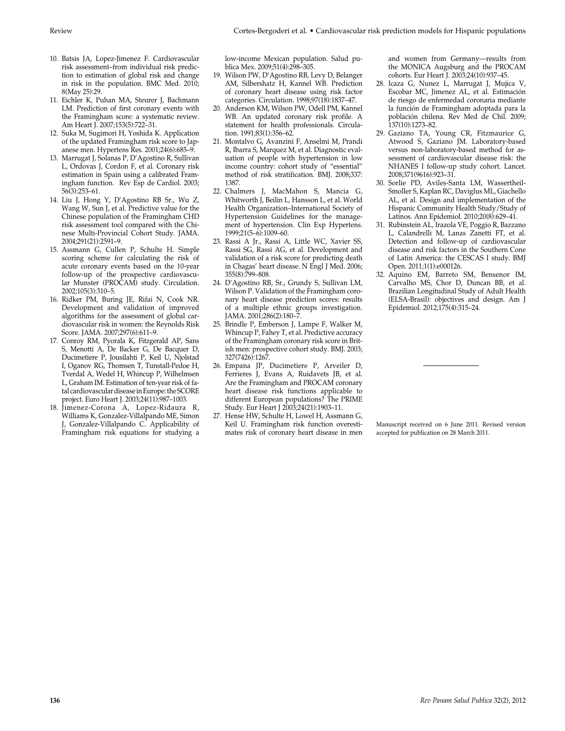- 10. Batsis JA, Lopez-Jimenez F. Cardiovascular risk assessment–from individual risk prediction to estimation of global risk and change in risk in the population. BMC Med. 2010; 8(May 25):29.
- 11. Eichler K, Puhan MA, Steurer J, Bachmann LM. Prediction of first coronary events with the Framingham score: a systematic review. Am Heart J. 2007;153(5):722–31.
- 12. Suka M, Sugimori H, Yoshida K. Application of the updated Framingham risk score to Japanese men. Hypertens Res. 2001;24(6):685–9.
- 13. Marrugat J, Solanas P, D'Agostino R, Sullivan L, Ordovas J, Cordon F, et al. Coronary risk estimation in Spain using a calibrated Framingham function. Rev Esp de Cardiol. 2003; 56(3):253–61.
- 14. Liu J, Hong Y, D'Agostino RB Sr., Wu Z, Wang W, Sun J, et al. Predictive value for the Chinese population of the Framingham CHD risk assessment tool compared with the Chinese Multi-Provincial Cohort Study. JAMA. 2004;291(21):2591–9.
- 15. Assmann G, Cullen P, Schulte H. Simple scoring scheme for calculating the risk of acute coronary events based on the 10-year follow-up of the prospective cardiovascular Munster (PROCAM) study. Circulation. 2002;105(3):310–5.
- 16. Ridker PM, Buring JE, Rifai N, Cook NR. Development and validation of improved algorithms for the assessment of global cardiovascular risk in women: the Reynolds Risk Score. JAMA. 2007;297(6):611–9.
- 17. Conroy RM, Pyorala K, Fitzgerald AP, Sans S, Menotti A, De Backer G, De Bacquer D, Ducimetiere P, Jousilahti P, Keil U, Njolstad I, Oganov RG, Thomsen T, Tunstall-Pedoe H, Tverdal A, Wedel H, Whincup P, Wilhelmsen L, Graham IM. Estimation of ten-year risk of fatal cardiovascular disease in Europe: the SCORE project. Euro Heart J. 2003;24(11):987–1003.
- 18. Jimenez-Corona A, Lopez-Ridaura R, Williams K, Gonzalez-Villalpando ME, Simon J, Gonzalez-Villalpando C. Applicability of Framingham risk equations for studying a

low-income Mexican population. Salud publica Mex. 2009;51(4):298–305.

- 19. Wilson PW, D'Agostino RB, Levy D, Belanger AM, Silbershatz H, Kannel WB. Prediction of coronary heart disease using risk factor categories. Circulation. 1998;97(18):1837–47.
- 20. Anderson KM, Wilson PW, Odell PM, Kannel WB. An updated coronary risk profile. A statement for health professionals. Circulation. 1991;83(1):356–62.
- 21. Montalvo G, Avanzini F, Anselmi M, Prandi R, Ibarra S, Marquez M, et al. Diagnostic evaluation of people with hypertension in low income country: cohort study of "essential" method of risk stratification. BMJ. 2008;337: 1387.
- 22. Chalmers J, MacMahon S, Mancia G, Whitworth J, Beilin L, Hansson L, et al. World Health Organization–International Society of Hypertension Guidelines for the management of hypertension. Clin Exp Hypertens. 1999;21(5–6):1009–60.
- 23. Rassi A Jr., Rassi A, Little WC, Xavier SS, Rassi SG, Rassi AG, et al. Development and validation of a risk score for predicting death in Chagas' heart disease. N Engl J Med. 2006; 355(8):799–808.
- 24. D'Agostino RB, Sr., Grundy S, Sullivan LM, Wilson P. Validation of the Framingham coronary heart disease prediction scores: results of a multiple ethnic groups investigation. JAMA. 2001;286(2):180–7.
- 25. Brindle P, Emberson J, Lampe F, Walker M, Whincup P, Fahey T, et al. Predictive accuracy of the Framingham coronary risk score in British men: prospective cohort study. BMJ. 2003; 327(7426):1267.
- 26. Empana JP, Ducimetiere P, Arveiler D, Ferrieres J, Evans A, Ruidavets JB, et al. Are the Framingham and PROCAM coronary heart disease risk functions applicable to different European populations? The PRIME Study. Eur Heart J 2003;24(21):1903–11.
- 27. Hense HW, Schulte H, Lowel H, Assmann G, Keil U. Framingham risk function overestimates risk of coronary heart disease in men

and women from Germany—results from the MONICA Augsburg and the PROCAM cohorts. Eur Heart J. 2003;24(10):937–45.

- 28. Icaza G, Nunez L, Marrugat J, Mujica V, Escobar MC, Jimenez AL, et al. Estimación de riesgo de enfermedad coronaria mediante la función de Framingham adoptada para la población chilena. Rev Med de Chil. 2009; 137(10):1273–82.
- 29. Gaziano TA, Young CR, Fitzmaurice G, Atwood S, Gaziano JM. Laboratory-based versus non-laboratory-based method for assessment of cardiovascular disease risk: the NHANES I follow-up study cohort. Lancet. 2008;371(9616):923–31.
- 30. Sorlie PD, Aviles-Santa LM, Wassertheil-Smoller S, Kaplan RC, Daviglus ML, Giachello AL, et al. Design and implementation of the Hispanic Community Health Study/Study of Latinos. Ann Epidemiol. 2010;20(8):629–41.
- 31. Rubinstein AL, Irazola VE, Poggio R, Bazzano L, Calandrelli M, Lanas Zanetti FT, et al. Detection and follow-up of cardiovascular disease and risk factors in the Southern Cone of Latin America: the CESCAS I study. BMJ Open. 2011;1(1):e000126.
- 32. Aquino EM, Barreto SM, Bensenor IM, Carvalho MS, Chor D, Duncan BB, et al. Brazilian Longitudinal Study of Adult Health (ELSA-Brasil): objectives and design. Am J Epidemiol. 2012;175(4):315–24.

Manuscript received on 6 June 2011. Revised version accepted for publication on 28 March 2011.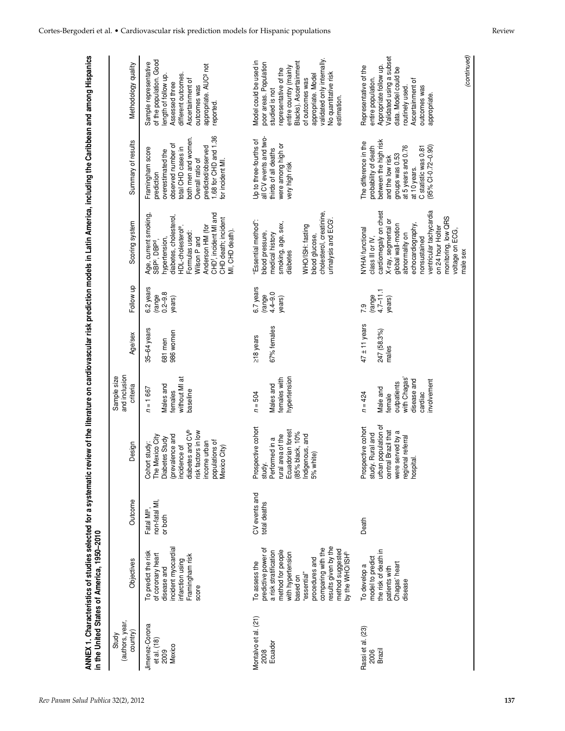|                                      | ANNEX 1. Characteristics of studies selected for a systematic<br>in the United States of America, 1950-2010 |                                        |                                            |                                          |                   |                                       |                                                              |                                               | review of the literature on cardiovascular risk prediction models in Latin America, including the Caribbean and among Hispanics |
|--------------------------------------|-------------------------------------------------------------------------------------------------------------|----------------------------------------|--------------------------------------------|------------------------------------------|-------------------|---------------------------------------|--------------------------------------------------------------|-----------------------------------------------|---------------------------------------------------------------------------------------------------------------------------------|
| (authors, year,<br>country)<br>Study | Objectives                                                                                                  | Outcome                                | Design                                     | and inclusion<br>Sample size<br>criteria | Age/sex           | Follow up                             | Scoring system                                               | Summary of results                            | Methodology quality                                                                                                             |
| Jimenez-Corona<br>et al. (18)        | To predict the risk<br>of coronary heart                                                                    | non-fatal MI,<br>Fatal MI <sup>a</sup> | The Mexico City<br>Cohort study:           | $n = 1667$                               | 35-64 years       | 6.2 years<br>(range                   | Age, current smoking,<br>SBP <sup>c</sup> , DBP <sup>d</sup> | Framingham score<br>prediction                | of the population. Good<br>Sample representative                                                                                |
| 2009                                 | disease and                                                                                                 | or both                                | Diabetes Study                             | Males and                                | 681 men           | $0.2 - 9.8$                           | nypertension                                                 | overestimated the                             | length of follow up                                                                                                             |
| Mexico                               | incident myocardial                                                                                         |                                        | (prevalence and<br>incidence of            | without MI at<br>females                 | 986 women         | years)                                | diabetes, cholesterol,<br>HDL-cholesterol <sup>e</sup>       | observed number of<br>total CHD cases in      | different outcomes.<br>Assessed three                                                                                           |
|                                      | infarction using<br>Framingham risk                                                                         |                                        | diabetes and CV <sup>b</sup>               | baseline                                 |                   |                                       | Formulas used:<br>Wilson P and                               | both men and women.<br>Overall ratio of       | Ascertainment of                                                                                                                |
|                                      | score                                                                                                       |                                        | risk factors in low<br>income urban        |                                          |                   |                                       | Anderson HM (for                                             | predicted/observed                            | appropriate. AUC <sup>9</sup> not<br>outcomes was                                                                               |
|                                      |                                                                                                             |                                        | populations of<br>Mexico City)             |                                          |                   |                                       | CHD', incident MI and<br>CHD death; incident                 | 1.68 for CHD and 1.36<br>for incident MI.     | reported.                                                                                                                       |
|                                      |                                                                                                             |                                        |                                            |                                          |                   |                                       | MI, CHD death).                                              |                                               |                                                                                                                                 |
| Montalvo et al. (21)                 | To assess the                                                                                               | CV events and                          | Prospective cohort                         | $n = 504$                                | $\ge$ 18 years    | 6.7 years                             | "Essential method":                                          | Up to three-fourths of                        | Model could be used in                                                                                                          |
| 2008                                 | predictive power of                                                                                         | total deaths                           | study.                                     |                                          |                   | (range                                | blood pressure,                                              | all CV events and two-                        | poor areas. Population                                                                                                          |
| Ecuador                              | a risk stratification                                                                                       |                                        | Performed in a                             | Males and                                | 67% females       | $4.4 - 9.0$                           | medical history                                              | thirds of all deaths                          | studied is not                                                                                                                  |
|                                      | method for people<br>with hypertension                                                                      |                                        | Ecuadorian forest<br>rural area of the     | hypertension<br>females with             |                   | years)                                | smoking, age, sex,<br>diabetes                               | were among high or<br>very high risk          | entire country (mainly<br>representative of the                                                                                 |
|                                      | based on                                                                                                    |                                        | (85% black, 10%                            |                                          |                   |                                       |                                                              |                                               | Blacks). Ascertainment                                                                                                          |
|                                      | procedures and<br>"essential"                                                                               |                                        | Indigenous, and<br>white)<br>5%            |                                          |                   |                                       | WHO/ISH: fasting<br>plood glucose,                           |                                               | appropriate. Model<br>of outcomes was                                                                                           |
|                                      | comparing with the                                                                                          |                                        |                                            |                                          |                   |                                       | cholesterol, creatinine,                                     |                                               | validated only internally.                                                                                                      |
|                                      | results given by the<br>method suggested                                                                    |                                        |                                            |                                          |                   |                                       | urinalysis and ECG                                           |                                               | No quantitative risk<br>estimation.                                                                                             |
|                                      | by the WHO/ISH <sup>r</sup>                                                                                 |                                        |                                            |                                          |                   |                                       |                                                              |                                               |                                                                                                                                 |
| Rassi et al. (23)                    | To develop a                                                                                                | Death                                  | Prospective cohort                         | $n = 424$                                | $47 \pm 11$ years | 7.9                                   | NYHA functional                                              | The difference in the                         | Representative of the                                                                                                           |
| 2006<br>Brazil                       | model to predict                                                                                            |                                        | study. Rural and                           |                                          |                   | ${\frac{(\text{range})}{4.7 - 11.1}}$ | class III or IV,                                             | probability of death<br>between the high risk | entire population.                                                                                                              |
|                                      | the risk of death in                                                                                        |                                        | urban population of<br>central Brazil that | Male and                                 | 247 (58.3%)       |                                       | cardiomegaly on chest                                        |                                               | Appropriate follow up.                                                                                                          |
|                                      | Chagas' heart<br>patients with                                                                              |                                        | were served by a                           | outpatients<br>female                    | males             | years)                                | global wall-motion<br>X-ray, segmental                       | groups was 0.53<br>and the low risk           | Validated using a subset<br>data. Model could be                                                                                |
|                                      | disease                                                                                                     |                                        | regional referral                          | with Chagas'                             |                   |                                       | abnormality on                                               | at 5 years and 0.76                           | routinely used.                                                                                                                 |
|                                      |                                                                                                             |                                        | hospital.                                  | disease and                              |                   |                                       | echocardiography                                             | at 10 years.                                  | Ascertainment of                                                                                                                |
|                                      |                                                                                                             |                                        |                                            | nvolvement<br>cardiac                    |                   |                                       | ventricular tachycardia<br>nonsustained                      | C statistic was 0.81<br>(95% Cl-0.72–0.90)    | outcomes was<br>appropriate.                                                                                                    |
|                                      |                                                                                                             |                                        |                                            |                                          |                   |                                       | on 24 hour Holter                                            |                                               |                                                                                                                                 |
|                                      |                                                                                                             |                                        |                                            |                                          |                   |                                       | monitoring, low QRS<br>voltage on ECG,                       |                                               |                                                                                                                                 |
|                                      |                                                                                                             |                                        |                                            |                                          |                   |                                       | male sex                                                     |                                               |                                                                                                                                 |
|                                      |                                                                                                             |                                        |                                            |                                          |                   |                                       |                                                              |                                               | (continued)                                                                                                                     |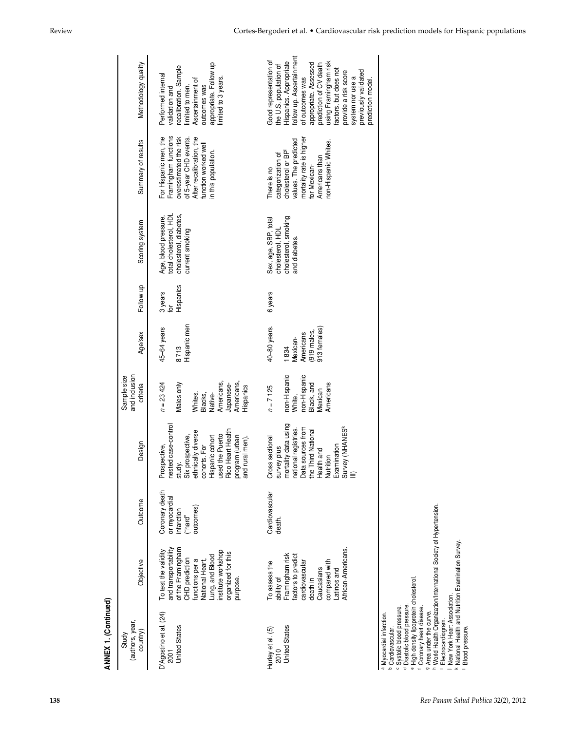| ANNEX 1. (Continued)                                                                                                                                                                                                                                                                                 |                                                                                                                                                                                                      |                                                                       |                                                                                                                                                                                                                          |                                                                                                                  |                                                                             |                             |                                                                                             |                                                                                                                                                                             |                                                                                                                                                                                                                                                                                                                         |
|------------------------------------------------------------------------------------------------------------------------------------------------------------------------------------------------------------------------------------------------------------------------------------------------------|------------------------------------------------------------------------------------------------------------------------------------------------------------------------------------------------------|-----------------------------------------------------------------------|--------------------------------------------------------------------------------------------------------------------------------------------------------------------------------------------------------------------------|------------------------------------------------------------------------------------------------------------------|-----------------------------------------------------------------------------|-----------------------------|---------------------------------------------------------------------------------------------|-----------------------------------------------------------------------------------------------------------------------------------------------------------------------------|-------------------------------------------------------------------------------------------------------------------------------------------------------------------------------------------------------------------------------------------------------------------------------------------------------------------------|
| (authors, year,<br>country)<br>Study                                                                                                                                                                                                                                                                 | Objective                                                                                                                                                                                            | Outcome                                                               | Design                                                                                                                                                                                                                   | and inclusion<br>Sample size<br>criteria                                                                         | Age/sex                                                                     | Follow up                   | Scoring system                                                                              | Summary of results                                                                                                                                                          | Methodology quality                                                                                                                                                                                                                                                                                                     |
| D'Agostino et al. (24)<br><b>United States</b><br>2001                                                                                                                                                                                                                                               | and transportability<br>of the Framingham<br>institute workshop<br>To test the validity<br>organized for this<br>Lung, and Blood<br>CHD prediction<br>National Heart,<br>functions per a<br>purpose. | Coronary death<br>or myocardial<br>outcomes)<br>infarction<br>("hard" | nested case-control<br>Rico Heart Health<br>ethnically diverse<br>used the Puerto<br>Six prospective,<br>program (urban<br>and rural men).<br>Hispanic cohort<br>I rural men).<br>cohorts. For<br>Prospective,<br>study. | Americans,<br>Americans,<br>$n = 23424$<br>Males only<br>Japanese-<br>Hispanics<br>Whites,<br>Blacks,<br>Native- | Hispanic men<br>45-64 years<br>8713                                         | Hispanics<br>3 years<br>io, | total cholesterol, HDL<br>cholesterol, diabetes,<br>Age, blood pressure,<br>current smoking | Framingham functions<br>For Hispanic men, the<br>overestimated the risk<br>After recalibration, the<br>of 5-year CHD events.<br>function worked well<br>in this population. | appropriate. Follow up<br>recalibration. Sample<br>Performed internal<br>limited to 3 years.<br>Ascertainment of<br>outcomes was<br>limited to men.<br>validation and                                                                                                                                                   |
| <b>United States</b><br>Hurley et al. (5)<br>2010                                                                                                                                                                                                                                                    | African-Americans<br>Framingham risk<br>factors to predict<br>compared with<br>cardiovascular<br>To assess the<br>Caucasians<br>Latinos and<br>ability of<br>death in                                | Cardiovascular<br>death.                                              | mortality data using<br>Survey (NHANES <sup>k</sup><br>III)<br>Data sources from<br>national registries.<br>the Third National<br>Cross sectional<br>Examination<br>survey plus<br>Health and<br>Nutrition               | non-Hispanic<br>non-Hispanic<br>Black, and<br>Americans<br>$n = 7125$<br>Mexican<br>White,                       | 40-80 years.<br>913 females)<br>919 males,<br>Americans<br>Mexican-<br>1834 | 6 years                     | cholesterol, smoking<br>Sex, age, SBP, total<br>cholesterol, HDL<br>and diabetes.           | mortality rate is higher<br>values. The predicted<br>non-Hispanic Whites.<br>cholesterol or BP<br>categorization of<br>Americans than<br>for Mexican-<br>There is no        | follow up. Ascertainment<br>Good representation of<br>Hispanics. Appropriate<br>using Framingham risk<br>appropriate. Assessed<br>prediction of CV death<br>the U.S. population of<br>factors, but does not<br>previously validated<br>provide a risk score<br>of outcomes was<br>system nor use a<br>prediction model. |
| <sup>e</sup> High density lipoprotein cholesterol<br>New York Heart Association.<br>Diastolic blood pressure.<br>c Systolic blood pressure.<br>f Coronary heart disease.<br>9 Area under the curve.<br>a Myocardial infarction.<br>Electrocardiogram.<br>Blood pressure.<br><b>b</b> Cardiovascular. | h World Health Organization/International Society of Hypertension.<br>National Health and Nutrition Examination Survey.                                                                              |                                                                       |                                                                                                                                                                                                                          |                                                                                                                  |                                                                             |                             |                                                                                             |                                                                                                                                                                             |                                                                                                                                                                                                                                                                                                                         |

Review Cortes-Bergoderi et al. • Cardiovascular risk prediction models for Hispanic populations